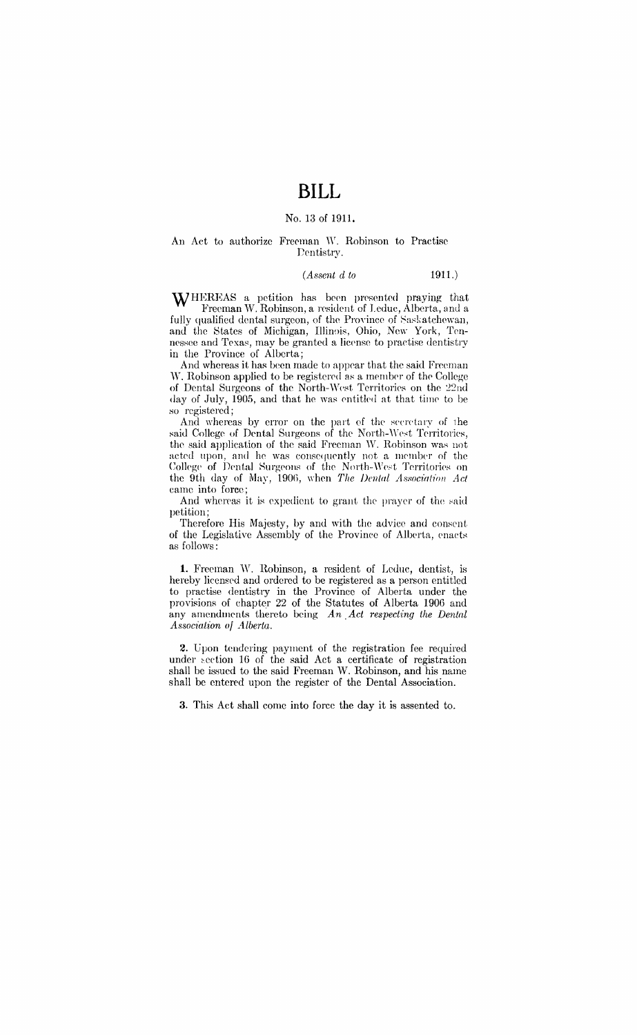# **BILL**

#### No. 13 of 1911.

#### An Act to authorize Freeman W. Robinson to Practise Dentistry.

#### *(Assent d to* 1911.)

WHEREAS a petition has been presented praying that Freeman \V. Robinson, a resident of Leduc, Alberta, anJ a fully qualified dental surgeon, of the Province of Saskatchewan, and the States of Michigan, Illinois, Ohio, New York, Tennessee and Texas, may be granted a license to practise dentistry in the Province of Alberta;

And whereas it has been made to appear that the said Freeman W. Robinson applied to be registered as a member of the College of Dental Surgeons of the North-West Territories on the 22nd day of July, 1905, and that he was entitled at that time to be so registered;

And whereas by error on the part of the secretary of the said College of Dental Surgeons of the North-West Territories, the said application of the said Freeman W. Robinson was not acted upon, and he was consequently not a member of the College of Dental Surgeons of the North-West Territories on the 9th day of May, 1906, when *The Dental Association Act* came into force;

And whereas it is expedient to grant the prayer of the said petition;

Therefore His Majesty, by and with the advice and consent of the Legislative Assembly of the Province of Alberta, enacts as follows:

1. Freeman W. Robinson, a resident of Leduc, dentist, is hereby licensed and ordered to be registered as a person entitled to practise dentistry in the Province of Alberta under the provisions of chapter 22 of the Statutes of Alberta 1906 and any amendments thereto being *An .Act respecting the Dental*   $A$ ssociation of Alberta.

2. Upon tendering payment of the registration fee required under section 16 of the said Act a certificate of registration shall be issued to the said Freeman W. Robinson, and his name shall be entered upon the register of the Dental Association.

3. This Act shall come into force the day it is assented to.